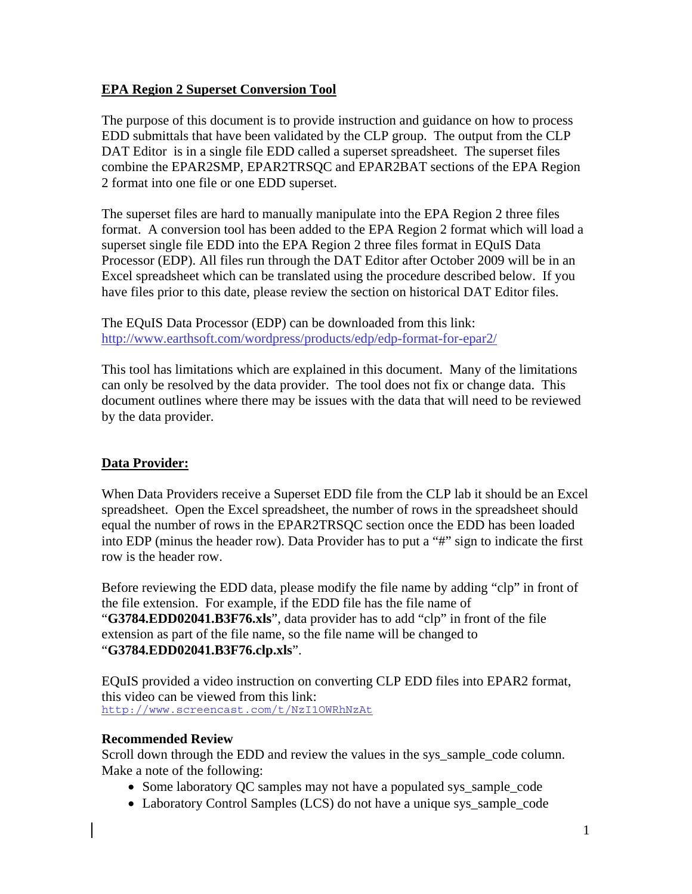# **EPA Region 2 Superset Conversion Tool**

The purpose of this document is to provide instruction and guidance on how to process EDD submittals that have been validated by the CLP group. The output from the CLP DAT Editor is in a single file EDD called a superset spreadsheet. The superset files combine the EPAR2SMP, EPAR2TRSQC and EPAR2BAT sections of the EPA Region 2 format into one file or one EDD superset.

The superset files are hard to manually manipulate into the EPA Region 2 three files format. A conversion tool has been added to the EPA Region 2 format which will load a superset single file EDD into the EPA Region 2 three files format in EQuIS Data Processor (EDP). All files run through the DAT Editor after October 2009 will be in an Excel spreadsheet which can be translated using the procedure described below. If you have files prior to this date, please review the section on historical DAT Editor files.

The EQuIS Data Processor (EDP) can be downloaded from this link: http://www.earthsoft.com/wordpress/products/edp/edp-format-for-epar2/

This tool has limitations which are explained in this document. Many of the limitations can only be resolved by the data provider. The tool does not fix or change data. This document outlines where there may be issues with the data that will need to be reviewed by the data provider.

# **Data Provider:**

When Data Providers receive a Superset EDD file from the CLP lab it should be an Excel spreadsheet. Open the Excel spreadsheet, the number of rows in the spreadsheet should equal the number of rows in the EPAR2TRSQC section once the EDD has been loaded into EDP (minus the header row). Data Provider has to put a "#" sign to indicate the first row is the header row.

Before reviewing the EDD data, please modify the file name by adding "clp" in front of the file extension. For example, if the EDD file has the file name of "**G3784.EDD02041.B3F76.xls**", data provider has to add "clp" in front of the file extension as part of the file name, so the file name will be changed to "**G3784.EDD02041.B3F76.clp.xls**".

EQuIS provided a video instruction on converting CLP EDD files into EPAR2 format, this video can be viewed from this link: http://www.screencast.com/t/NzI1OWRhNzAt

# **Recommended Review**

Scroll down through the EDD and review the values in the sys\_sample\_code column. Make a note of the following:

- Some laboratory QC samples may not have a populated sys\_sample\_code
- Laboratory Control Samples (LCS) do not have a unique sys\_sample\_code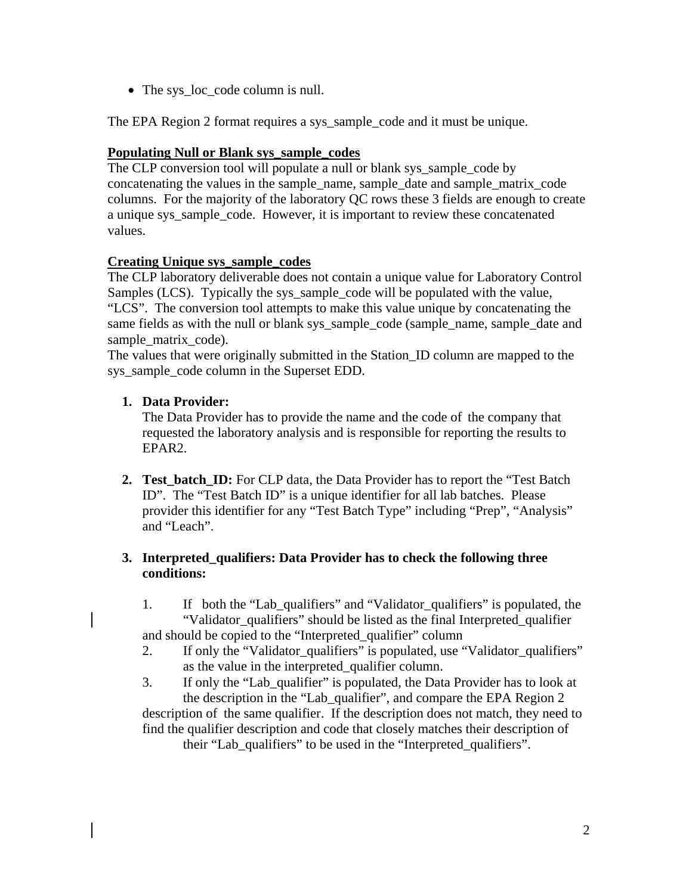• The sys\_loc\_code column is null.

The EPA Region 2 format requires a sys\_sample\_code and it must be unique.

### **Populating Null or Blank sys\_sample\_codes**

The CLP conversion tool will populate a null or blank sys sample code by concatenating the values in the sample\_name, sample\_date and sample\_matrix\_code columns. For the majority of the laboratory QC rows these 3 fields are enough to create a unique sys\_sample\_code. However, it is important to review these concatenated values.

### **Creating Unique sys\_sample\_codes**

The CLP laboratory deliverable does not contain a unique value for Laboratory Control Samples (LCS). Typically the sys\_sample\_code will be populated with the value, "LCS". The conversion tool attempts to make this value unique by concatenating the same fields as with the null or blank sys\_sample\_code (sample\_name, sample\_date and sample matrix code).

The values that were originally submitted in the Station\_ID column are mapped to the sys\_sample\_code column in the Superset EDD.

### **1. Data Provider:**

 The Data Provider has to provide the name and the code of the company that requested the laboratory analysis and is responsible for reporting the results to EPAR2.

**2. Test batch ID:** For CLP data, the Data Provider has to report the "Test Batch" ID". The "Test Batch ID" is a unique identifier for all lab batches. Please provider this identifier for any "Test Batch Type" including "Prep", "Analysis" and "Leach".

### **3. Interpreted\_qualifiers: Data Provider has to check the following three conditions:**

- 1. If both the "Lab\_qualifiers" and "Validator\_qualifiers" is populated, the "Validator\_qualifiers" should be listed as the final Interpreted\_qualifier and should be copied to the "Interpreted\_qualifier" column
- 2. If only the "Validator\_qualifiers" is populated, use "Validator\_qualifiers" as the value in the interpreted\_qualifier column.

3. If only the "Lab\_qualifier" is populated, the Data Provider has to look at the description in the "Lab\_qualifier", and compare the EPA Region 2 description of the same qualifier. If the description does not match, they need to find the qualifier description and code that closely matches their description of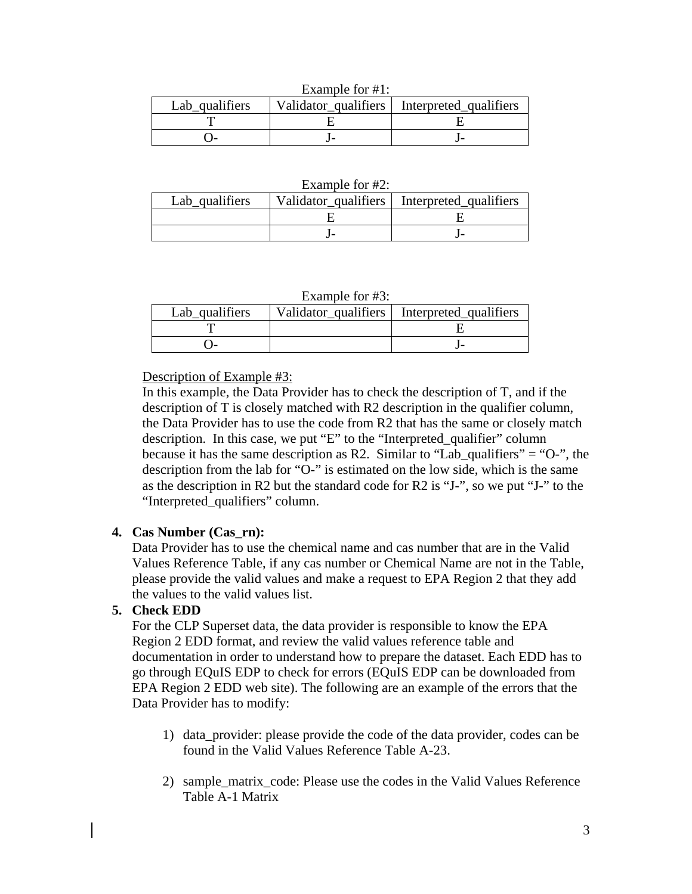| Lab qualifiers |  | Validator qualifiers   Interpreted qualifiers |  |
|----------------|--|-----------------------------------------------|--|
|                |  |                                               |  |
|                |  |                                               |  |

Example for  $#1$ .

| Lab_qualifiers |  | Validator qualifiers   Interpreted qualifiers |  |
|----------------|--|-----------------------------------------------|--|
|                |  |                                               |  |
|                |  |                                               |  |

### Example for #3:

| Lab_qualifiers | Validator_qualifiers   Interpreted_qualifiers |
|----------------|-----------------------------------------------|
|                |                                               |
|                |                                               |

Description of Example #3:

In this example, the Data Provider has to check the description of T, and if the description of T is closely matched with R2 description in the qualifier column, the Data Provider has to use the code from R2 that has the same or closely match description. In this case, we put "E" to the "Interpreted\_qualifier" column because it has the same description as R2. Similar to "Lab qualifiers" = "O-", the description from the lab for "O-" is estimated on the low side, which is the same as the description in R2 but the standard code for R2 is "J-", so we put "J-" to the "Interpreted\_qualifiers" column.

# **4. Cas Number (Cas\_rn):**

Data Provider has to use the chemical name and cas number that are in the Valid Values Reference Table, if any cas number or Chemical Name are not in the Table, please provide the valid values and make a request to EPA Region 2 that they add the values to the valid values list.

# **5. Check EDD**

 For the CLP Superset data, the data provider is responsible to know the EPA Region 2 EDD format, and review the valid values reference table and documentation in order to understand how to prepare the dataset. Each EDD has to go through EQuIS EDP to check for errors (EQuIS EDP can be downloaded from EPA Region 2 EDD web site). The following are an example of the errors that the Data Provider has to modify:

- 1) data\_provider: please provide the code of the data provider, codes can be found in the Valid Values Reference Table A-23.
- 2) sample\_matrix\_code: Please use the codes in the Valid Values Reference Table A-1 Matrix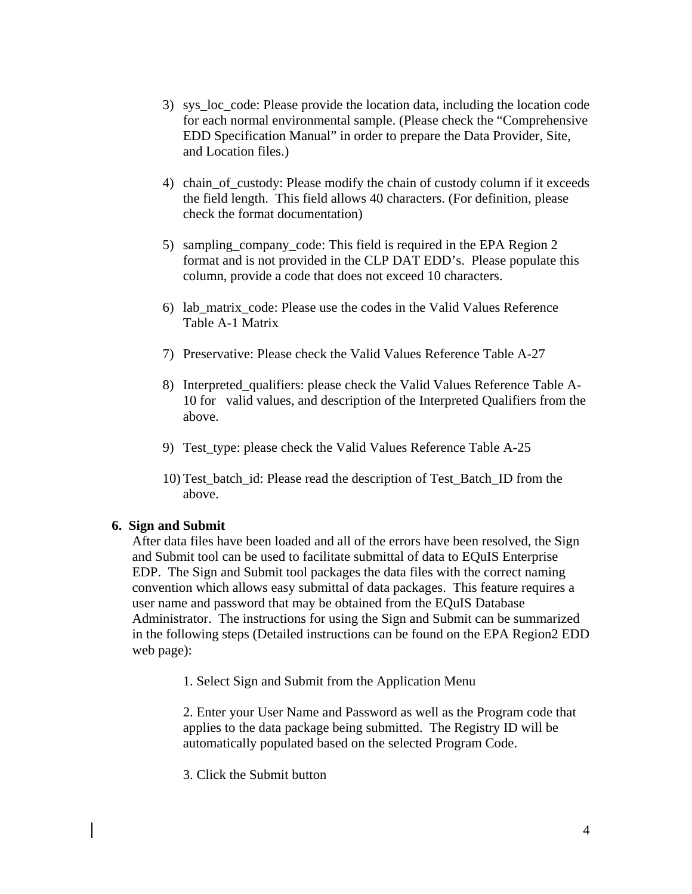- 3) sys\_loc\_code: Please provide the location data, including the location code for each normal environmental sample. (Please check the "Comprehensive EDD Specification Manual" in order to prepare the Data Provider, Site, and Location files.)
- 4) chain\_of\_custody: Please modify the chain of custody column if it exceeds the field length. This field allows 40 characters. (For definition, please check the format documentation)
- 5) sampling\_company\_code: This field is required in the EPA Region 2 format and is not provided in the CLP DAT EDD's. Please populate this column, provide a code that does not exceed 10 characters.
- 6) lab\_matrix\_code: Please use the codes in the Valid Values Reference Table A-1 Matrix
- 7) Preservative: Please check the Valid Values Reference Table A-27
- 8) Interpreted\_qualifiers: please check the Valid Values Reference Table A-10 for valid values, and description of the Interpreted Qualifiers from the above.
- 9) Test\_type: please check the Valid Values Reference Table A-25
- 10) Test\_batch\_id: Please read the description of Test\_Batch\_ID from the above.

### **6. Sign and Submit**

After data files have been loaded and all of the errors have been resolved, the Sign and Submit tool can be used to facilitate submittal of data to EQuIS Enterprise EDP. The Sign and Submit tool packages the data files with the correct naming convention which allows easy submittal of data packages. This feature requires a user name and password that may be obtained from the EQuIS Database Administrator. The instructions for using the Sign and Submit can be summarized in the following steps (Detailed instructions can be found on the EPA Region2 EDD web page):

1. Select Sign and Submit from the Application Menu

2. Enter your User Name and Password as well as the Program code that applies to the data package being submitted. The Registry ID will be automatically populated based on the selected Program Code.

3. Click the Submit button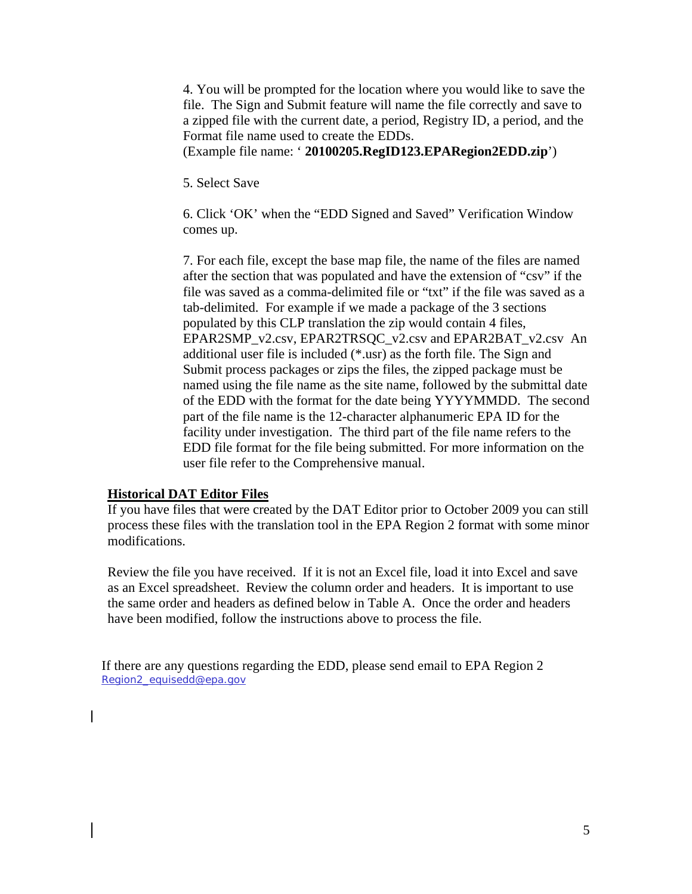4. You will be prompted for the location where you would like to save the file. The Sign and Submit feature will name the file correctly and save to a zipped file with the current date, a period, Registry ID, a period, and the Format file name used to create the EDDs.

(Example file name: ' **20100205.RegID123.EPARegion2EDD.zip**')

5. Select Save

6. Click 'OK' when the "EDD Signed and Saved" Verification Window comes up.

7. For each file, except the base map file, the name of the files are named after the section that was populated and have the extension of "csv" if the file was saved as a comma-delimited file or "txt" if the file was saved as a tab-delimited. For example if we made a package of the 3 sections populated by this CLP translation the zip would contain 4 files, EPAR2SMP\_v2.csv, EPAR2TRSQC\_v2.csv and EPAR2BAT\_v2.csv An additional user file is included (\*.usr) as the forth file. The Sign and Submit process packages or zips the files, the zipped package must be named using the file name as the site name, followed by the submittal date of the EDD with the format for the date being YYYYMMDD. The second part of the file name is the 12-character alphanumeric EPA ID for the facility under investigation. The third part of the file name refers to the EDD file format for the file being submitted. For more information on the user file refer to the Comprehensive manual.

#### **Historical DAT Editor Files**

If you have files that were created by the DAT Editor prior to October 2009 you can still process these files with the translation tool in the EPA Region 2 format with some minor modifications.

Review the file you have received. If it is not an Excel file, load it into Excel and save as an Excel spreadsheet. Review the column order and headers. It is important to use the same order and headers as defined below in Table A. Once the order and headers have been modified, follow the instructions above to process the file.

If there are any questions regarding the EDD, please send email to EPA Region 2 Region2\_equisedd@epa.gov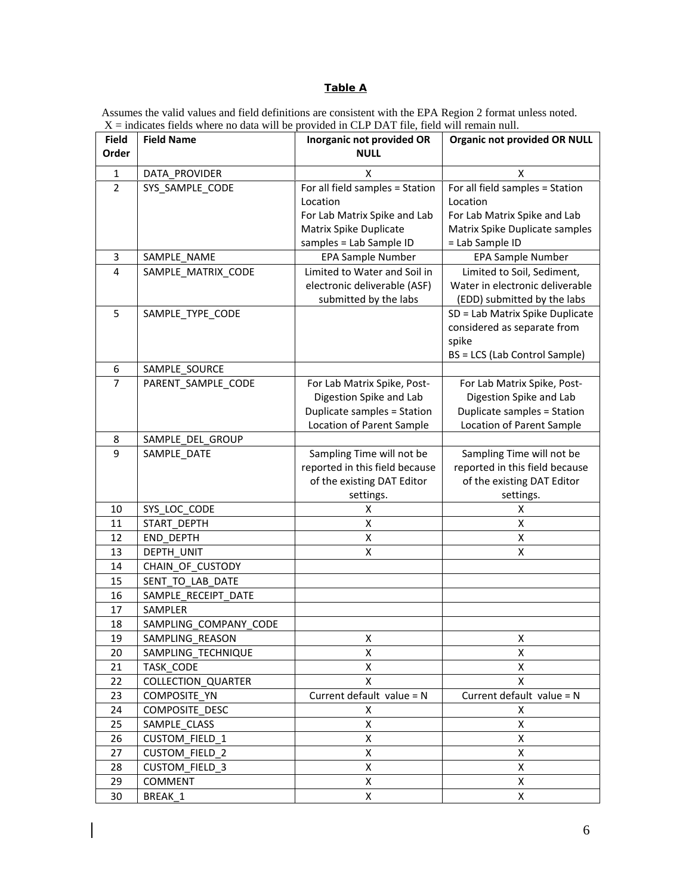#### **Table A**

Assumes the valid values and field definitions are consistent with the EPA Region 2 format unless noted.  $X =$  indicates fields where no data will be provided in CLP DAT file, field will remain null.

| <b>Field</b>     | <b>Field Name</b>                   | Inorganic not provided OR       | <b>Organic not provided OR NULL</b> |
|------------------|-------------------------------------|---------------------------------|-------------------------------------|
| Order            |                                     | <b>NULL</b>                     |                                     |
| $\mathbf{1}$     | DATA PROVIDER                       | X                               | Χ                                   |
| $\overline{2}$   | SYS_SAMPLE_CODE                     | For all field samples = Station | For all field samples = Station     |
|                  |                                     | Location                        | Location                            |
|                  |                                     | For Lab Matrix Spike and Lab    | For Lab Matrix Spike and Lab        |
|                  |                                     | Matrix Spike Duplicate          | Matrix Spike Duplicate samples      |
|                  |                                     | samples = Lab Sample ID         | = Lab Sample ID                     |
| 3                | SAMPLE NAME                         | EPA Sample Number               | EPA Sample Number                   |
| 4                | SAMPLE_MATRIX_CODE                  | Limited to Water and Soil in    | Limited to Soil, Sediment,          |
|                  |                                     | electronic deliverable (ASF)    | Water in electronic deliverable     |
|                  |                                     | submitted by the labs           | (EDD) submitted by the labs         |
| 5                | SAMPLE_TYPE_CODE                    |                                 | SD = Lab Matrix Spike Duplicate     |
|                  |                                     |                                 | considered as separate from         |
|                  |                                     |                                 | spike                               |
| $\boldsymbol{6}$ |                                     |                                 | BS = LCS (Lab Control Sample)       |
| $\overline{7}$   | SAMPLE_SOURCE<br>PARENT SAMPLE CODE | For Lab Matrix Spike, Post-     | For Lab Matrix Spike, Post-         |
|                  |                                     | Digestion Spike and Lab         | Digestion Spike and Lab             |
|                  |                                     | Duplicate samples = Station     | Duplicate samples = Station         |
|                  |                                     | Location of Parent Sample       | Location of Parent Sample           |
| 8                | SAMPLE_DEL_GROUP                    |                                 |                                     |
| 9                | SAMPLE DATE                         | Sampling Time will not be       | Sampling Time will not be           |
|                  |                                     | reported in this field because  | reported in this field because      |
|                  |                                     | of the existing DAT Editor      | of the existing DAT Editor          |
|                  |                                     | settings.                       | settings.                           |
| 10               | SYS LOC CODE                        | X                               | X                                   |
| 11               | START_DEPTH                         | X                               | X                                   |
| 12               | END DEPTH                           | Χ                               | X                                   |
| 13               | DEPTH UNIT                          | X                               | Χ                                   |
| 14               | CHAIN_OF_CUSTODY                    |                                 |                                     |
| 15               | SENT TO LAB DATE                    |                                 |                                     |
| 16               | SAMPLE RECEIPT DATE                 |                                 |                                     |
| 17               | SAMPLER                             |                                 |                                     |
| 18               | SAMPLING_COMPANY_CODE               |                                 |                                     |
| 19               | SAMPLING_REASON                     | Χ                               | Χ                                   |
| 20               | SAMPLING TECHNIQUE                  | X                               | X                                   |
| 21               | TASK CODE                           | X                               | X                                   |
| 22               | <b>COLLECTION QUARTER</b>           | X                               | X                                   |
| 23               | COMPOSITE YN                        | Current default value = $N$     | Current default value = $N$         |
| 24               | COMPOSITE DESC                      | X                               | X                                   |
| 25               | SAMPLE CLASS                        | X                               | X                                   |
| 26               | <b>CUSTOM FIELD 1</b>               | X                               | X                                   |
| 27               | <b>CUSTOM FIELD 2</b>               | X                               | X                                   |
| 28               | <b>CUSTOM FIELD 3</b>               | X                               | X                                   |
| 29               | COMMENT                             | X                               | X                                   |
| 30               | BREAK_1                             | X                               | X                                   |

 $\overline{\phantom{a}}$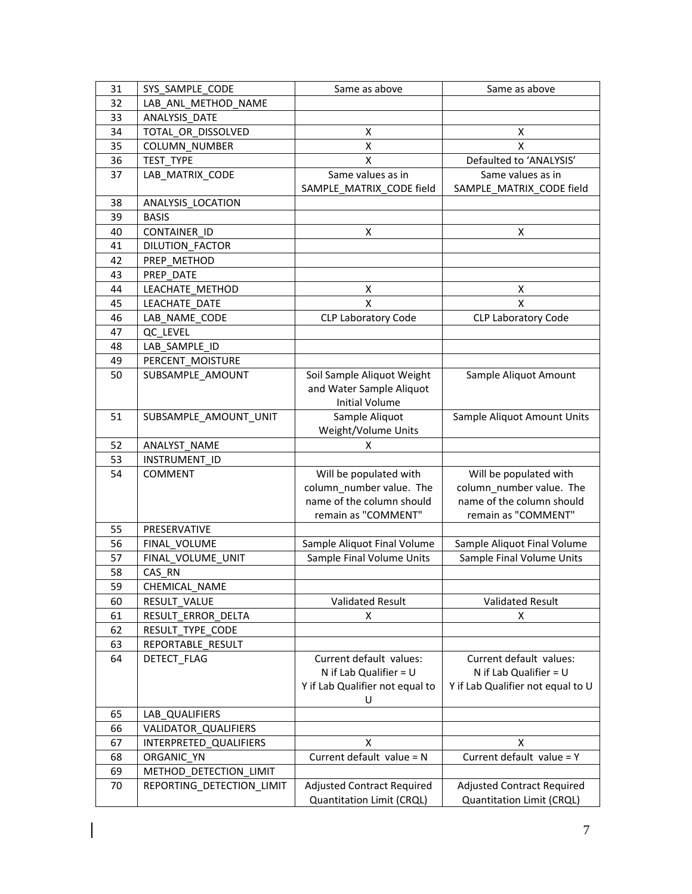| 31 | SYS SAMPLE CODE           | Same as above                     | Same as above                     |
|----|---------------------------|-----------------------------------|-----------------------------------|
| 32 | LAB ANL METHOD NAME       |                                   |                                   |
| 33 | ANALYSIS DATE             |                                   |                                   |
| 34 | TOTAL_OR_DISSOLVED        | х                                 | x                                 |
| 35 | <b>COLUMN NUMBER</b>      | X                                 | X                                 |
| 36 | TEST TYPE                 | X                                 | Defaulted to 'ANALYSIS'           |
| 37 | LAB MATRIX CODE           | Same values as in                 | Same values as in                 |
|    |                           | SAMPLE_MATRIX_CODE field          | SAMPLE MATRIX CODE field          |
| 38 | ANALYSIS_LOCATION         |                                   |                                   |
| 39 | <b>BASIS</b>              |                                   |                                   |
| 40 | CONTAINER_ID              | Χ                                 | X                                 |
| 41 | DILUTION FACTOR           |                                   |                                   |
| 42 | PREP METHOD               |                                   |                                   |
| 43 | PREP DATE                 |                                   |                                   |
| 44 | LEACHATE METHOD           | Χ                                 | X                                 |
| 45 | LEACHATE DATE             | X                                 | X                                 |
| 46 | LAB NAME CODE             | <b>CLP Laboratory Code</b>        | CLP Laboratory Code               |
| 47 | QC LEVEL                  |                                   |                                   |
| 48 | LAB_SAMPLE_ID             |                                   |                                   |
| 49 | PERCENT MOISTURE          |                                   |                                   |
| 50 | SUBSAMPLE_AMOUNT          | Soil Sample Aliquot Weight        | Sample Aliquot Amount             |
|    |                           | and Water Sample Aliquot          |                                   |
|    |                           | <b>Initial Volume</b>             |                                   |
| 51 | SUBSAMPLE_AMOUNT_UNIT     | Sample Aliquot                    | Sample Aliquot Amount Units       |
|    |                           | Weight/Volume Units               |                                   |
| 52 | ANALYST NAME              | X                                 |                                   |
| 53 | <b>INSTRUMENT ID</b>      |                                   |                                   |
| 54 | <b>COMMENT</b>            | Will be populated with            | Will be populated with            |
|    |                           | column_number value. The          | column_number value. The          |
|    |                           | name of the column should         | name of the column should         |
|    |                           | remain as "COMMENT"               | remain as "COMMENT"               |
| 55 | PRESERVATIVE              |                                   |                                   |
| 56 | FINAL VOLUME              | Sample Aliquot Final Volume       | Sample Aliquot Final Volume       |
| 57 | FINAL_VOLUME_UNIT         | Sample Final Volume Units         | Sample Final Volume Units         |
| 58 | CAS RN                    |                                   |                                   |
| 59 | CHEMICAL_NAME             |                                   |                                   |
| 60 | RESULT VALUE              | Validated Result                  | <b>Validated Result</b>           |
| 61 | RESULT_ERROR_DELTA        | х                                 | X                                 |
| 62 | RESULT_TYPE_CODE          |                                   |                                   |
| 63 | REPORTABLE_RESULT         |                                   |                                   |
| 64 | DETECT_FLAG               | Current default values:           | Current default values:           |
|    |                           | N if Lab Qualifier = $U$          | N if Lab Qualifier = $U$          |
|    |                           | Y if Lab Qualifier not equal to   | Y if Lab Qualifier not equal to U |
|    |                           | U                                 |                                   |
| 65 | LAB QUALIFIERS            |                                   |                                   |
| 66 | VALIDATOR QUALIFIERS      |                                   |                                   |
| 67 | INTERPRETED QUALIFIERS    | X                                 | x                                 |
| 68 | ORGANIC YN                | Current default value = N         | Current default value = Y         |
| 69 | METHOD_DETECTION_LIMIT    |                                   |                                   |
| 70 | REPORTING DETECTION LIMIT | <b>Adjusted Contract Required</b> | <b>Adjusted Contract Required</b> |
|    |                           | Quantitation Limit (CRQL)         | Quantitation Limit (CRQL)         |

 $\overline{\phantom{a}}$